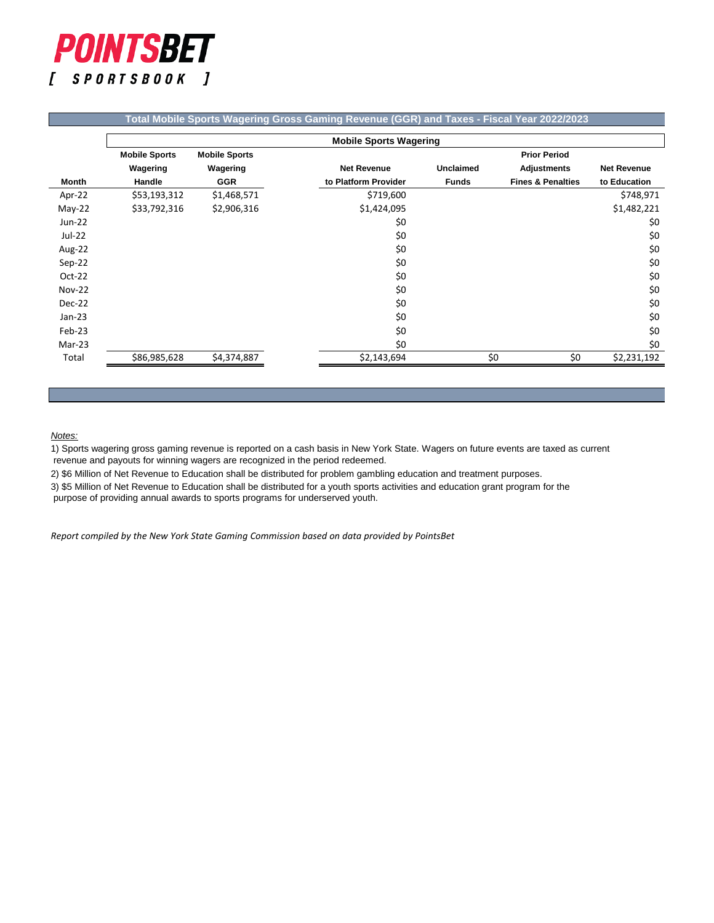

## **Total Mobile Sports Wagering Gross Gaming Revenue (GGR) and Taxes - Fiscal Year 2022/2023**

|               | <b>Mobile Sports Wagering</b> |                      |  |                      |                  |                              |                    |  |  |
|---------------|-------------------------------|----------------------|--|----------------------|------------------|------------------------------|--------------------|--|--|
|               | <b>Mobile Sports</b>          | <b>Mobile Sports</b> |  |                      |                  | <b>Prior Period</b>          |                    |  |  |
|               | Wagering                      | Wagering             |  | <b>Net Revenue</b>   | <b>Unclaimed</b> | <b>Adjustments</b>           | <b>Net Revenue</b> |  |  |
| Month         | Handle                        | <b>GGR</b>           |  | to Platform Provider | <b>Funds</b>     | <b>Fines &amp; Penalties</b> | to Education       |  |  |
| Apr-22        | \$53,193,312                  | \$1,468,571          |  | \$719,600            |                  |                              | \$748,971          |  |  |
| $May-22$      | \$33,792,316                  | \$2,906,316          |  | \$1,424,095          |                  |                              | \$1,482,221        |  |  |
| $Jun-22$      |                               |                      |  | \$0                  |                  |                              | \$0                |  |  |
| $Jul-22$      |                               |                      |  | \$0                  |                  |                              | \$0                |  |  |
| Aug-22        |                               |                      |  | \$0                  |                  |                              | \$0                |  |  |
| Sep-22        |                               |                      |  | \$0                  |                  |                              | \$0                |  |  |
| $Oct-22$      |                               |                      |  | \$0                  |                  |                              | \$0                |  |  |
| <b>Nov-22</b> |                               |                      |  | \$0                  |                  |                              | \$0                |  |  |
| Dec-22        |                               |                      |  | \$0                  |                  |                              | \$0                |  |  |
| $Jan-23$      |                               |                      |  | \$0                  |                  |                              | \$0                |  |  |
| Feb-23        |                               |                      |  | \$0                  |                  |                              | \$0                |  |  |
| Mar-23        |                               |                      |  | \$0                  |                  |                              | \$0                |  |  |
| Total         | \$86,985,628                  | \$4,374,887          |  | \$2,143,694          |                  | \$0<br>\$0                   | \$2,231,192        |  |  |

## *Notes:*

1) Sports wagering gross gaming revenue is reported on a cash basis in New York State. Wagers on future events are taxed as current revenue and payouts for winning wagers are recognized in the period redeemed.

2) \$6 Million of Net Revenue to Education shall be distributed for problem gambling education and treatment purposes.

3) \$5 Million of Net Revenue to Education shall be distributed for a youth sports activities and education grant program for the

purpose of providing annual awards to sports programs for underserved youth.

*Report compiled by the New York State Gaming Commission based on data provided by PointsBet*